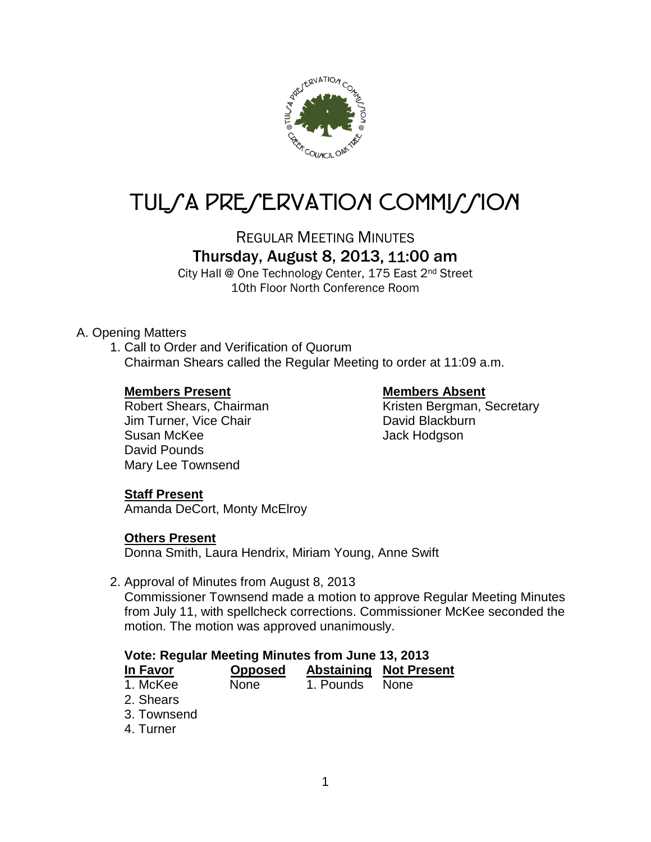

# TUL/A PRE/ERVATION COMMI*J*/ION

REGULAR MEETING MINUTES

# Thursday, August 8, 2013, 11:00 am

City Hall @ One Technology Center, 175 East 2nd Street 10th Floor North Conference Room

# A. Opening Matters

1. Call to Order and Verification of Quorum Chairman Shears called the Regular Meeting to order at 11:09 a.m.

#### **Members Present Members Absent**

Jim Turner, Vice Chair **David Blackburn** Susan McKee Jack Hodgson David Pounds Mary Lee Townsend

Robert Shears, Chairman Kristen Bergman, Secretary

# **Staff Present**

Amanda DeCort, Monty McElroy

# **Others Present**

Donna Smith, Laura Hendrix, Miriam Young, Anne Swift

2. Approval of Minutes from August 8, 2013

Commissioner Townsend made a motion to approve Regular Meeting Minutes from July 11, with spellcheck corrections. Commissioner McKee seconded the motion. The motion was approved unanimously.

#### **Vote: Regular Meeting Minutes from June 13, 2013**

| In Favor | <b>Opposed</b> |                | <b>Abstaining Not Present</b> |
|----------|----------------|----------------|-------------------------------|
| 1. McKee | <b>None</b>    | 1. Pounds None |                               |

- 2. Shears
- 3. Townsend
- 4. Turner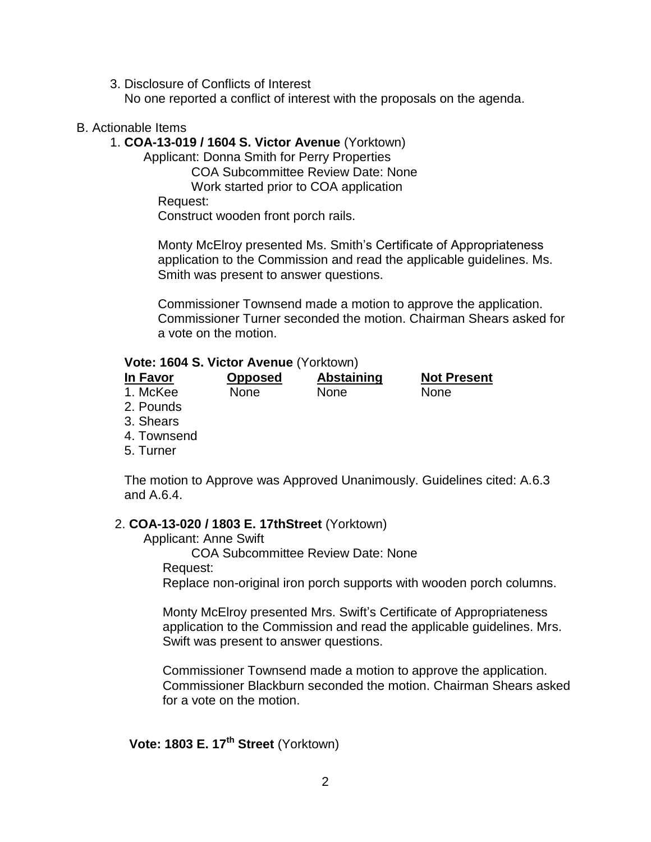3. Disclosure of Conflicts of Interest

No one reported a conflict of interest with the proposals on the agenda.

#### B. Actionable Items

#### 1. **COA-13-019 / 1604 S. Victor Avenue** (Yorktown)

Applicant: Donna Smith for Perry Properties

COA Subcommittee Review Date: None

Work started prior to COA application

Request:

Construct wooden front porch rails.

Monty McElroy presented Ms. Smith's Certificate of Appropriateness application to the Commission and read the applicable guidelines. Ms. Smith was present to answer questions.

Commissioner Townsend made a motion to approve the application. Commissioner Turner seconded the motion. Chairman Shears asked for a vote on the motion.

#### **Vote: 1604 S. Victor Avenue** (Yorktown)

| In Favor | <b>Opposed</b> | Abstaining  | <b>Not Present</b> |
|----------|----------------|-------------|--------------------|
| 1. McKee | None           | <b>None</b> | None               |

- 2. Pounds
- 3. Shears
- 4. Townsend
- 5. Turner

The motion to Approve was Approved Unanimously. Guidelines cited: A.6.3 and A.6.4.

#### 2. **COA-13-020 / 1803 E. 17thStreet** (Yorktown)

Applicant: Anne Swift

COA Subcommittee Review Date: None

Request:

Replace non-original iron porch supports with wooden porch columns.

Monty McElroy presented Mrs. Swift's Certificate of Appropriateness application to the Commission and read the applicable guidelines. Mrs. Swift was present to answer questions.

Commissioner Townsend made a motion to approve the application. Commissioner Blackburn seconded the motion. Chairman Shears asked for a vote on the motion.

**Vote: 1803 E. 17th Street** (Yorktown)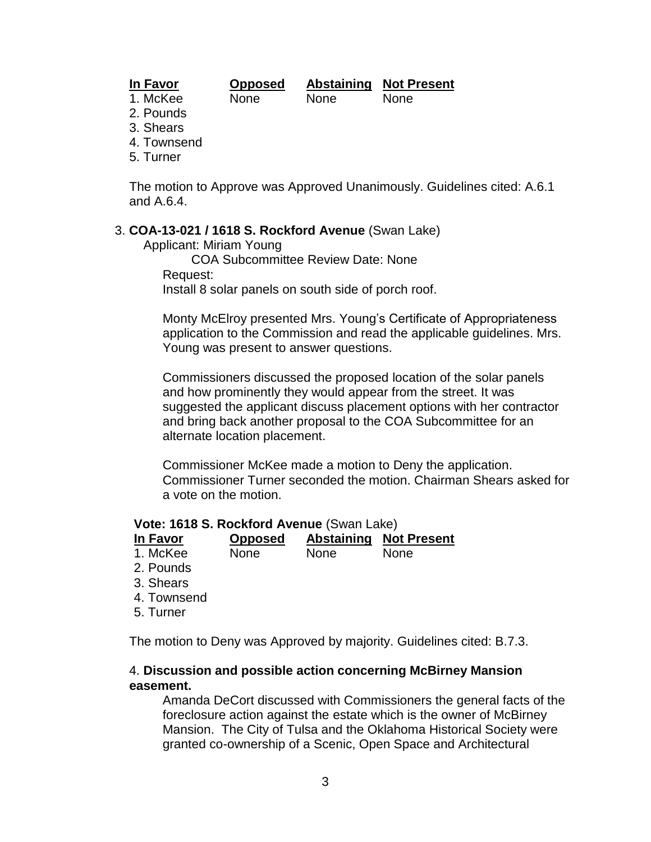# **In Favor Opposed Abstaining Not Present**

#### 1. McKee None None None

- 2. Pounds
- 3. Shears
- 4. Townsend
- 5. Turner

The motion to Approve was Approved Unanimously. Guidelines cited: A.6.1 and A.6.4.

#### 3. **COA-13-021 / 1618 S. Rockford Avenue** (Swan Lake)

Applicant: Miriam Young

COA Subcommittee Review Date: None Request: Install 8 solar panels on south side of porch roof.

Monty McElroy presented Mrs. Young's Certificate of Appropriateness application to the Commission and read the applicable guidelines. Mrs. Young was present to answer questions.

Commissioners discussed the proposed location of the solar panels and how prominently they would appear from the street. It was suggested the applicant discuss placement options with her contractor and bring back another proposal to the COA Subcommittee for an alternate location placement.

Commissioner McKee made a motion to Deny the application. Commissioner Turner seconded the motion. Chairman Shears asked for a vote on the motion.

#### **Vote: 1618 S. Rockford Avenue** (Swan Lake)

| In Favor | <b>Opposed</b> | <b>Abstaining Not Present</b> |
|----------|----------------|-------------------------------|
| .        |                |                               |

| 1. McKee | None | <b>None</b> | <b>None</b> |  |
|----------|------|-------------|-------------|--|
| 2 Dounde |      |             |             |  |

- 2. Pounds
- 3. Shears
- 4. Townsend
- 5. Turner

The motion to Deny was Approved by majority. Guidelines cited: B.7.3.

#### 4. **Discussion and possible action concerning McBirney Mansion easement.**

Amanda DeCort discussed with Commissioners the general facts of the foreclosure action against the estate which is the owner of McBirney Mansion. The City of Tulsa and the Oklahoma Historical Society were granted co-ownership of a Scenic, Open Space and Architectural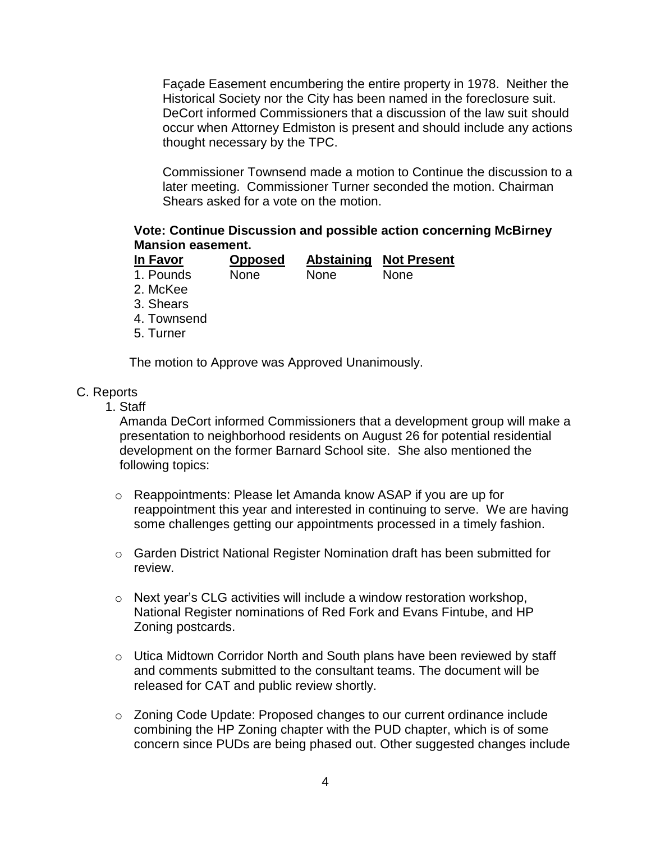Façade Easement encumbering the entire property in 1978. Neither the Historical Society nor the City has been named in the foreclosure suit. DeCort informed Commissioners that a discussion of the law suit should occur when Attorney Edmiston is present and should include any actions thought necessary by the TPC.

Commissioner Townsend made a motion to Continue the discussion to a later meeting. Commissioner Turner seconded the motion. Chairman Shears asked for a vote on the motion.

### **Vote: Continue Discussion and possible action concerning McBirney Mansion easement.**

| In Favor  | <b>Opposed</b> |             | <b>Abstaining Not Present</b> |
|-----------|----------------|-------------|-------------------------------|
| 1. Pounds | <b>None</b>    | <b>None</b> | None                          |

- 2. McKee
- 3. Shears
- 4. Townsend
- 5. Turner

The motion to Approve was Approved Unanimously.

#### C. Reports

1. Staff

Amanda DeCort informed Commissioners that a development group will make a presentation to neighborhood residents on August 26 for potential residential development on the former Barnard School site. She also mentioned the following topics:

- o Reappointments: Please let Amanda know ASAP if you are up for reappointment this year and interested in continuing to serve. We are having some challenges getting our appointments processed in a timely fashion.
- o Garden District National Register Nomination draft has been submitted for review.
- o Next year's CLG activities will include a window restoration workshop, National Register nominations of Red Fork and Evans Fintube, and HP Zoning postcards.
- o Utica Midtown Corridor North and South plans have been reviewed by staff and comments submitted to the consultant teams. The document will be released for CAT and public review shortly.
- o Zoning Code Update: Proposed changes to our current ordinance include combining the HP Zoning chapter with the PUD chapter, which is of some concern since PUDs are being phased out. Other suggested changes include